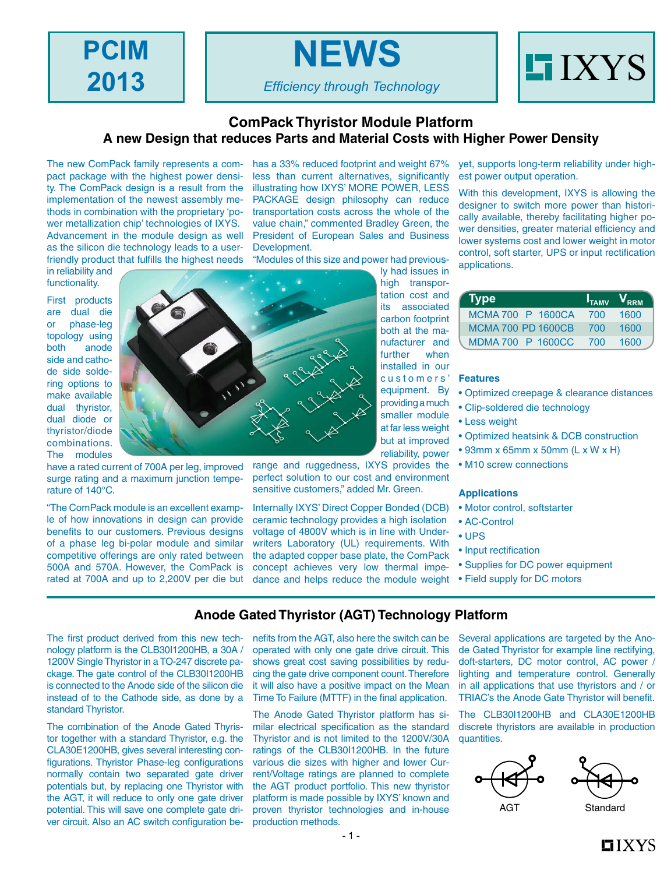**PCIM 2013**

*Efficiency through Technology*

**NEWS**



#### **ComPack Thyristor Module Platform A new Design that reduces Parts and Material Costs with Higher Power Density**

The new ComPack family represents a compact package with the highest power density. The ComPack design is a result from the implementation of the newest assembly methods in combination with the proprietary 'power metallization chip' technologies of IXYS. Advancement in the module design as well as the silicon die technology leads to a userfriendly product that fulfills the highest needs

in reliability and functionality.

First products are dual die or phase-leg topology using both anode side and cathode side soldering options to make available dual thyristor, dual diode or thyristor/diode combinations. The modules

have a rated current of 700A per leg, improved surge rating and a maximum junction temperature of 140°C.

"The ComPack module is an excellent example of how innovations in design can provide benefits to our customers. Previous designs of a phase leg bi-polar module and similar competitive offerings are only rated between 500A and 570A. However, the ComPack is rated at 700A and up to 2,200V per die but

has a 33% reduced footprint and weight 67% less than current alternatives, significantly illustrating how IXYS' MORE POWER, LESS PACKAGE design philosophy can reduce transportation costs across the whole of the value chain," commented Bradley Green, the President of European Sales and Business Development.

"Modules of this size and power had previous-

ly had issues in high transportation cost and its associated carbon footprint both at the manufacturer and further when installed in our customers' equipment. By providing a much smaller module at far less weight but at improved reliability, power

range and ruggedness, IXYS provides the perfect solution to our cost and environment sensitive customers," added Mr. Green.

Internally IXYS' Direct Copper Bonded (DCB) ceramic technology provides a high isolation voltage of 4800V which is in line with Underwriters Laboratory (UL) requirements. With the adapted copper base plate, the ComPack concept achieves very low thermal impedance and helps reduce the module weight yet, supports long-term reliability under highest power output operation.

With this development, IXYS is allowing the designer to switch more power than historically available, thereby facilitating higher power densities, greater material efficiency and lower systems cost and lower weight in motor control, soft starter, UPS or input rectification applications.

| <b>Type</b>               |     | $I_{TAMV}$ $V_{RRM}$ |
|---------------------------|-----|----------------------|
| MCMA 700 P 1600CA         | 700 | 1600                 |
| <b>MCMA 700 PD 1600CB</b> | 700 | 1600                 |
| MDMA 700 P 1600CC         | 700 | 1600                 |

#### **Features**

- Optimized creepage & clearance distances
- Clip-soldered die technology
- Less weight
	- Optimized heatsink & DCB construction
	- 93mm x 65mm x 50mm (L x W x H)
	- M10 screw connections

#### **Applications**

- Motor control, softstarter
- AC-Control
- UPS
- Input rectification
- Supplies for DC power equipment
- Field supply for DC motors

#### **Anode Gated Thyristor (AGT) Technology Platform**

The first product derived from this new technology platform is the CLB30I1200HB, a 30A / 1200V Single Thyristor in a TO-247 discrete package. The gate control of the CLB30I1200HB is connected to the Anode side of the silicon die instead of to the Cathode side, as done by a standard Thyristor.

The combination of the Anode Gated Thyristor together with a standard Thyristor, e.g. the CLA30E1200HB, gives several interesting configurations. Thyristor Phase-leg configurations normally contain two separated gate driver potentials but, by replacing one Thyristor with the AGT, it will reduce to only one gate driver potential. This will save one complete gate driver circuit. Also an AC switch configuration benefits from the AGT, also here the switch can be operated with only one gate drive circuit. This shows great cost saving possibilities by reducing the gate drive component count. Therefore it will also have a positive impact on the Mean Time To Failure (MTTF) in the final application.

The Anode Gated Thyristor platform has similar electrical specification as the standard Thyristor and is not limited to the 1200V/30A ratings of the CLB30I1200HB. In the future various die sizes with higher and lower Current/Voltage ratings are planned to complete the AGT product portfolio. This new thyristor platform is made possible by IXYS' known and proven thyristor technologies and in-house production methods.

Several applications are targeted by the Anode Gated Thyristor for example line rectifying, doft-starters, DC motor control, AC power / lighting and temperature control. Generally in all applications that use thyristors and / or TRIAC's the Anode Gate Thyristor will benefit.

The CLB30I1200HB and CLA30E1200HB discrete thyristors are available in production quantities.



 $\blacksquare$ IXYS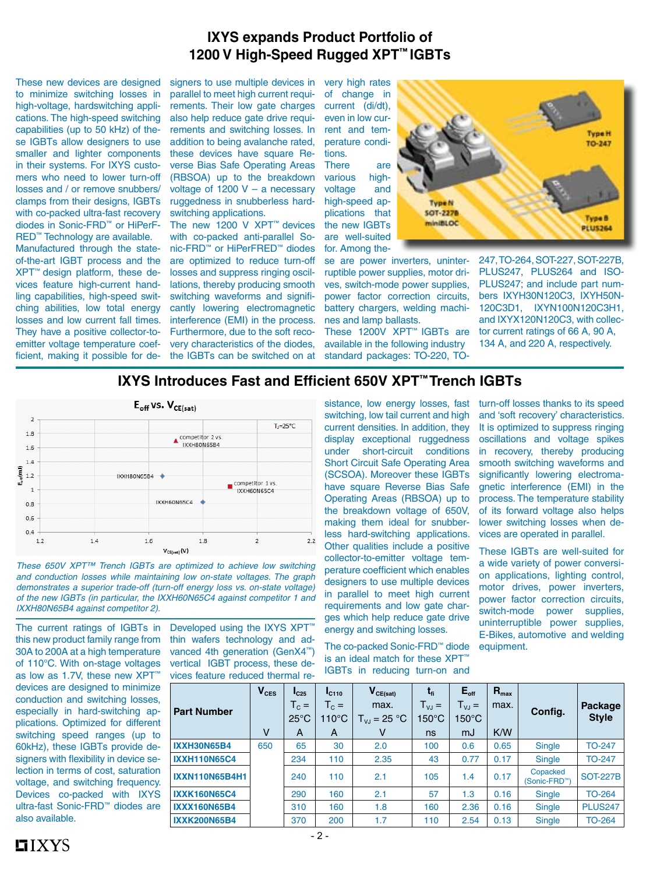### **IXYS expands Product Portfolio of 1200 V High-Speed Rugged XPT™ IGBTs**

These new devices are designed to minimize switching losses in high-voltage, hardswitching applications. The high-speed switching capabilities (up to 50 kHz) of these IGBTs allow designers to use smaller and lighter components in their systems. For IXYS customers who need to lower turn-off losses and / or remove snubbers/ clamps from their designs, IGBTs with co-packed ultra-fast recovery diodes in Sonic-FRD™ or HiPerF-RED™ Technology are available.

Manufactured through the stateof-the-art IGBT process and the XPT™ design platform, these devices feature high-current handling capabilities, high-speed switching abilities, low total energy losses and low current fall times. They have a positive collector-toemitter voltage temperature coefficient, making it possible for designers to use multiple devices in parallel to meet high current requirements. Their low gate charges also help reduce gate drive requirements and switching losses. In addition to being avalanche rated, these devices have square Reverse Bias Safe Operating Areas (RBSOA) up to the breakdown voltage of 1200 V – a necessary ruggedness in snubberless hardswitching applications.

The new 1200 V XPT™ devices with co-packed anti-parallel Sonic-FRD™ or HiPerFRED™ diodes are optimized to reduce turn-off losses and suppress ringing oscillations, thereby producing smooth switching waveforms and significantly lowering electromagnetic interference (EMI) in the process. Furthermore, due to the soft recovery characteristics of the diodes, the IGBTs can be switched on at

very high rates of change in current (di/dt), even in low current and temperature conditions.

There are various highvoltage and high-speed applications that the new IGBTs are well-suited for. Among the-

se are power inverters, uninterruptible power supplies, motor drives, switch-mode power supplies, power factor correction circuits, battery chargers, welding machines and lamp ballasts.

These 1200V XPT™ IGBTs are available in the following industry standard packages: TO-220, TO-



247, TO-264, SOT-227, SOT-227B, PLUS247, PLUS264 and ISO-PLUS247; and include part numbers IXYH30N120C3, IXYH50N-120C3D1, IXYN100N120C3H1, and IXYX120N120C3, with collector current ratings of 66 A, 90 A, 134 A, and 220 A, respectively.

## **IXYS Introduces Fast and Efficient 650V XPT™ Trench IGBTs**



*These 650V XPT™ Trench IGBTs are optimized to achieve low switching and conduction losses while maintaining low on-state voltages. The graph demonstrates a superior trade-off (turn-off energy loss vs. on-state voltage) of the new IGBTs (in particular, the IXXH60N65C4 against competitor 1 and IXXH80N65B4 against competitor 2).*

The current ratings of IGBTs in this new product family range from 30A to 200A at a high temperature of 110°C. With on-stage voltages as low as 1.7V, these new XPT™ devices are designed to minimize conduction and switching losses, especially in hard-switching applications. Optimized for different switching speed ranges (up to 60kHz), these IGBTs provide designers with flexibility in device selection in terms of cost, saturation voltage, and switching frequency. Devices co-packed with IXYS ultra-fast Sonic-FRD™ diodes are also available.

Developed using the IXYS XPT" thin wafers technology and advanced 4th generation (GenX4™) vertical IGBT process, these devices feature reduced thermal reswitching, low tail current and high current densities. In addition, they display exceptional ruggedness under short-circuit conditions Short Circuit Safe Operating Area (SCSOA). Moreover these IGBTs have square Reverse Bias Safe Operating Areas (RBSOA) up to the breakdown voltage of 650V, making them ideal for snubberless hard-switching applications. Other qualities include a positive collector-to-emitter voltage temperature coefficient which enables designers to use multiple devices in parallel to meet high current requirements and low gate charges which help reduce gate drive energy and switching losses.

The co-packed Sonic-FRD™ diode is an ideal match for these XPT" IGBTs in reducing turn-on and

sistance, low energy losses, fast turn-off losses thanks to its speed and 'soft recovery' characteristics. It is optimized to suppress ringing oscillations and voltage spikes in recovery, thereby producing smooth switching waveforms and significantly lowering electromagnetic interference (EMI) in the process. The temperature stability of its forward voltage also helps lower switching losses when devices are operated in parallel.

> These IGBTs are well-suited for a wide variety of power conversion applications, lighting control, motor drives, power inverters, power factor correction circuits, switch-mode power supplies, uninterruptible power supplies, E-Bikes, automotive and welding equipment.

| <b>Part Number</b>    | $V_{CES}$ | $I_{C25}$<br>$T_c =$<br>$25^{\circ}$ C | I <sub>C110</sub><br>$T_c =$<br>$110^{\circ}$ C | $V_{CE(sat)}$<br>max.<br>$T_{VJ}$ = 25 °C | $t_{fi}$<br>$T_{VJ} =$<br>$150^{\circ}$ C | $E_{\text{off}}$<br>$T_{\rm VJ} =$<br>$150^{\circ}$ C | $R_{\text{max}}$<br>max. | Config.                               | Package<br><b>Style</b> |
|-----------------------|-----------|----------------------------------------|-------------------------------------------------|-------------------------------------------|-------------------------------------------|-------------------------------------------------------|--------------------------|---------------------------------------|-------------------------|
| <b>IXXH30N65B4</b>    | v<br>650  | A<br>65                                | A                                               | v                                         | ns                                        | mJ                                                    | K/W                      |                                       |                         |
|                       |           |                                        | 30                                              | 2.0                                       | 100                                       | 0.6                                                   | 0.65                     | <b>Single</b>                         | <b>TO-247</b>           |
| <b>IXXH110N65C4</b>   |           | 234                                    | 110                                             | 2.35                                      | 43                                        | 0.77                                                  | 0.17                     | <b>Single</b>                         | <b>TO-247</b>           |
| <b>IXXN110N65B4H1</b> |           | 240                                    | 110                                             | 2.1                                       | 105                                       | 1.4                                                   | 0.17                     | Copacked<br>(Sonic-FRD <sup>™</sup> ) | <b>SOT-227B</b>         |
| <b>IXXK160N65C4</b>   |           | 290                                    | 160                                             | 2.1                                       | 57                                        | 1.3                                                   | 0.16                     | Single                                | <b>TO-264</b>           |
| <b>IXXX160N65B4</b>   |           | 310                                    | 160                                             | 1.8                                       | 160                                       | 2.36                                                  | 0.16                     | <b>Single</b>                         | <b>PLUS247</b>          |
| <b>IXXK200N65B4</b>   |           | 370                                    | 200                                             | 1.7                                       | 110                                       | 2.54                                                  | 0.13                     | Single                                | <b>TO-264</b>           |

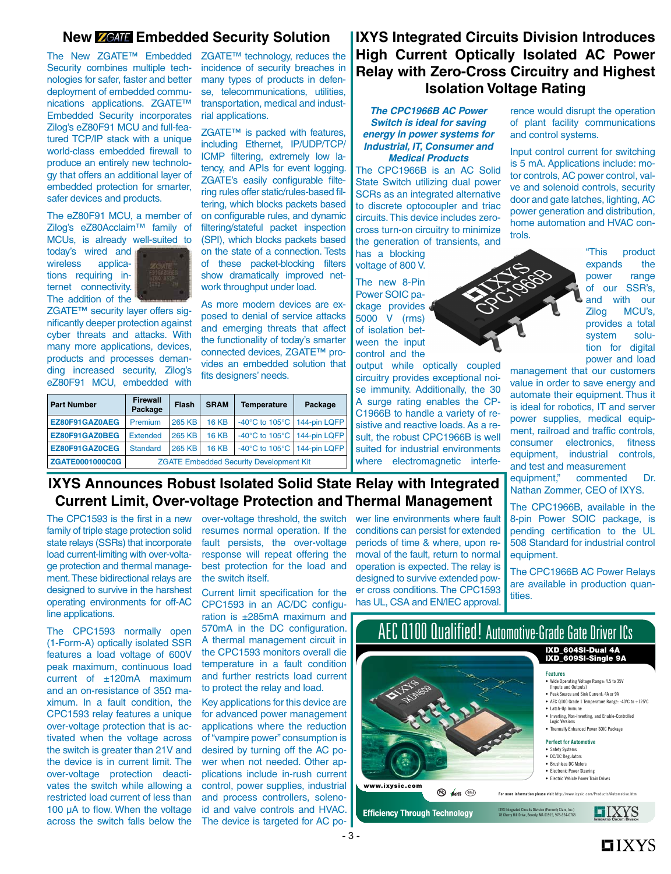#### **New ZGATE Embedded Security Solution**

The New ZGATE™ Embedded Security combines multiple technologies for safer, faster and better deployment of embedded communications applications. ZGATE™ Embedded Security incorporates Zilog's eZ80F91 MCU and full-featured TCP/IP stack with a unique world-class embedded firewall to produce an entirely new technology that offers an additional layer of embedded protection for smarter, safer devices and products.

The eZ80F91 MCU, a member of Zilog's eZ80Acclaim™ family of MCUs, is already well-suited to

today's wired and wireless applications requiring internet connectivity. The addition of the



ZGATE™ security layer offers significantly deeper protection against cyber threats and attacks. With many more applications, devices, products and processes demanding increased security, Zilog's eZ80F91 MCU, embedded with

ZGATE™ technology, reduces the incidence of security breaches in many types of products in defense, telecommunications, utilities, transportation, medical and industrial applications.

ZGATE<sup>™</sup> is packed with features, including Ethernet, IP/UDP/TCP/ ICMP filtering, extremely low latency, and APIs for event logging. ZGATE's easily configurable filtering rules offer static/rules-based filtering, which blocks packets based on configurable rules, and dynamic filtering/stateful packet inspection (SPI), which blocks packets based on the state of a connection. Tests of these packet-blocking filters show dramatically improved network throughput under load.

As more modern devices are exposed to denial of service attacks and emerging threats that affect the functionality of today's smarter connected devices, ZGATE™ provides an embedded solution that fits designers' needs.

| <b>Part Number</b>     | <b>Firewall</b><br>Package                     | Flash  | <b>SRAM</b>  | <b>Temperature</b>                                | Package |  |  |
|------------------------|------------------------------------------------|--------|--------------|---------------------------------------------------|---------|--|--|
| EZ80F91GAZ0AEG         | Premium                                        | 265 KB | <b>16 KB</b> | -40 $\degree$ C to 105 $\degree$ C   144-pin LQFP |         |  |  |
| EZ80F91GAZ0BEG         | <b>Extended</b>                                | 265 KB | <b>16 KB</b> | -40 $\degree$ C to 105 $\degree$ C   144-pin LQFP |         |  |  |
| EZ80F91GAZ0CEG         | Standard                                       | 265 KB | <b>16 KB</b> | -40 $\degree$ C to 105 $\degree$ C   144-pin LQFP |         |  |  |
| <b>ZGATE0001000C0G</b> | <b>ZGATE Embedded Security Development Kit</b> |        |              |                                                   |         |  |  |

## **IXYS Integrated Circuits Division Introduces High Current Optically Isolated AC Power Relay with Zero-Cross Circuitry and Highest Isolation Voltage Rating**

*The CPC1966B AC Power Switch is ideal for saving energy in power systems for Industrial, IT, Consumer and Medical Products*

The CPC1966B is an AC Solid State Switch utilizing dual power SCRs as an integrated alternative to discrete optocoupler and triac circuits. This device includes zerocross turn-on circuitry to minimize the generation of transients, and has a blocking voltage of 800 V.

The new 8-Pin Power SOIC package provides 5000 V (rms) of isolation between the input

control and the output while optically coupled circuitry provides exceptional noise immunity. Additionally, the 30 A surge rating enables the CP-C1966B to handle a variety of resistive and reactive loads. As a result, the robust CPC1966B is well suited for industrial environments where electromagnetic interference would disrupt the operation of plant facility communications and control systems.

Input control current for switching is 5 mA. Applications include: motor controls, AC power control, valve and solenoid controls, security door and gate latches, lighting, AC power generation and distribution, home automation and HVAC controls.

> "This product expands the power range of our SSR's, and with our Zilog MCU's, provides a total system solution for digital power and load

management that our customers value in order to save energy and automate their equipment. Thus it is ideal for robotics, IT and server power supplies, medical equipment, railroad and traffic controls, consumer electronics, fitness equipment, industrial controls, and test and measurement equipment," commented Dr. Nathan Zommer, CEO of IXYS.

The CPC1966B, available in the 8-pin Power SOIC package, is pending certification to the UL 508 Standard for industrial control equipment.

The CPC1966B AC Power Relays are available in production quantities.

## **IXYS Announces Robust Isolated Solid State Relay with Integrated Current Limit, Over-voltage Protection and Thermal Management**

The CPC1593 is the first in a new family of triple stage protection solid state relays (SSRs) that incorporate load current-limiting with over-voltage protection and thermal management. These bidirectional relays are designed to survive in the harshest operating environments for off-AC line applications.

The CPC1593 normally open (1-Form-A) optically isolated SSR features a load voltage of 600V peak maximum, continuous load current of ±120mA maximum and an on-resistance of 35Ω maximum. In a fault condition, the CPC1593 relay features a unique over-voltage protection that is activated when the voltage across the switch is greater than 21V and the device is in current limit. The over-voltage protection deactivates the switch while allowing a restricted load current of less than 100 µA to flow. When the voltage across the switch falls below the

over-voltage threshold, the switch resumes normal operation. If the fault persists, the over-voltage response will repeat offering the best protection for the load and the switch itself.

Current limit specification for the CPC1593 in an AC/DC configuration is ±285mA maximum and 570mA in the DC configuration. A thermal management circuit in the CPC1593 monitors overall die temperature in a fault condition and further restricts load current to protect the relay and load.

Key applications for this device are for advanced power management applications where the reduction of "vampire power" consumption is desired by turning off the AC power when not needed. Other applications include in-rush current control, power supplies, industrial and process controllers, solenoid and valve controls and HVAC. The device is targeted for AC power line environments where fault conditions can persist for extended periods of time & where, upon removal of the fault, return to normal operation is expected. The relay is designed to survive extended power cross conditions. The CPC1593 has UL, CSA and EN/IEC approval.

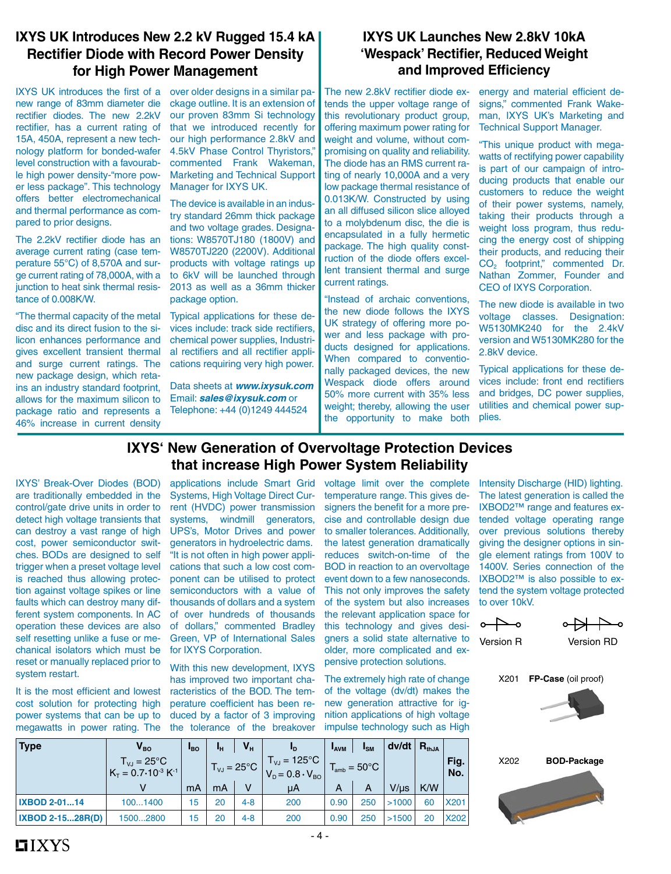#### **IXYS UK Introduces New 2.2 kV Rugged 15.4 kA Rectifier Diode with Record Power Density for High Power Management**

IXYS UK introduces the first of a new range of 83mm diameter die rectifier diodes. The new 2.2kV rectifier, has a current rating of 15A, 450A, represent a new technology platform for bonded-wafer level construction with a favourable high power density-"more power less package". This technology offers better electromechanical and thermal performance as compared to prior designs.

The 2.2kV rectifier diode has an average current rating (case temperature 55°C) of 8,570A and surge current rating of 78,000A, with a junction to heat sink thermal resistance of 0.008K/W.

"The thermal capacity of the metal disc and its direct fusion to the silicon enhances performance and gives excellent transient thermal and surge current ratings. The new package design, which retains an industry standard footprint, allows for the maximum silicon to package ratio and represents a 46% increase in current density

over older designs in a similar package outline. It is an extension of our proven 83mm Si technology that we introduced recently for our high performance 2.8kV and 4.5kV Phase Control Thyristors," commented Frank Wakeman, Marketing and Technical Support Manager for IXYS UK.

The device is available in an industry standard 26mm thick package and two voltage grades. Designations: W8570TJ180 (1800V) and W8570TJ220 (2200V). Additional products with voltage ratings up to 6kV will be launched through 2013 as well as a 36mm thicker package option.

Typical applications for these devices include: track side rectifiers, chemical power supplies, Industrial rectifiers and all rectifier applications requiring very high power.

Data sheets at *www.ixysuk.com*  Email: *sales@ixysuk.com* or Telephone: +44 (0)1249 444524

### **IXYS UK Launches New 2.8kV 10kA 'Wespack' Rectifier, Reduced Weight and Improved Efficiency**

The new 2.8kV rectifier diode extends the upper voltage range of this revolutionary product group, offering maximum power rating for weight and volume, without compromising on quality and reliability. The diode has an RMS current rating of nearly 10,000A and a very low package thermal resistance of 0.013K/W. Constructed by using an all diffused silicon slice alloyed to a molybdenum disc, the die is encapsulated in a fully hermetic package. The high quality construction of the diode offers excellent transient thermal and surge current ratings.

"Instead of archaic conventions, the new diode follows the IXYS UK strategy of offering more power and less package with products designed for applications. When compared to conventionally packaged devices, the new Wespack diode offers around 50% more current with 35% less weight; thereby, allowing the user the opportunity to make both energy and material efficient designs," commented Frank Wakeman, IXYS UK's Marketing and Technical Support Manager.

"This unique product with megawatts of rectifying power capability is part of our campaign of introducing products that enable our customers to reduce the weight of their power systems, namely, taking their products through a weight loss program, thus reducing the energy cost of shipping their products, and reducing their CO<sub>2</sub> footprint," commented Dr. Nathan Zommer, Founder and CEO of IXYS Corporation.

The new diode is available in two voltage classes. Designation: W5130MK240 for the 2.4kV version and W5130MK280 for the 2.8kV device.

Typical applications for these devices include: front end rectifiers and bridges, DC power supplies, utilities and chemical power supplies.

### **IXYS' New Generation of Overvoltage Protection Devices that increase High Power System Reliability**

IXYS' Break-Over Diodes (BOD) are traditionally embedded in the control/gate drive units in order to detect high voltage transients that can destroy a vast range of high cost, power semiconductor switches. BODs are designed to self trigger when a preset voltage level is reached thus allowing protection against voltage spikes or line faults which can destroy many different system components. In AC operation these devices are also self resetting unlike a fuse or mechanical isolators which must be reset or manually replaced prior to system restart.

It is the most efficient and lowest cost solution for protecting high power systems that can be up to megawatts in power rating. The applications include Smart Grid Systems, High Voltage Direct Current (HVDC) power transmission systems, windmill generators, UPS's, Motor Drives and power generators in hydroelectric dams. "It is not often in high power applications that such a low cost component can be utilised to protect semiconductors with a value of thousands of dollars and a system of over hundreds of thousands of dollars," commented Bradley Green, VP of International Sales for IXYS Corporation.

With this new development, IXYS has improved two important characteristics of the BOD. The temperature coefficient has been reduced by a factor of 3 improving the tolerance of the breakover voltage limit over the complete temperature range. This gives designers the benefit for a more precise and controllable design due to smaller tolerances. Additionally, the latest generation dramatically reduces switch-on-time of the BOD in reaction to an overvoltage event down to a few nanoseconds. This not only improves the safety of the system but also increases the relevant application space for this technology and gives designers a solid state alternative to older, more complicated and expensive protection solutions.

The extremely high rate of change of the voltage (dv/dt) makes the new generation attractive for ignition applications of high voltage impulse technology such as High

Intensity Discharge (HID) lighting. The latest generation is called the IXBOD2™ range and features extended voltage operating range over previous solutions thereby giving the designer options in single element ratings from 100V to 1400V. Series connection of the IXBOD2™ is also possible to extend the system voltage protected to over 10kV



Version R Version RD

X201 **FP-Case** (oil proof)





| <b>Type</b>             | $V_{BO}$                                                   | <sup>1</sup> BO | Чн                            | $V_{H}$ | <b>LD</b>                                                                          | <b>LAVM</b> | $I_{\text{SM}}$          | dv/dt     | $R_{thJA}$ |             |
|-------------------------|------------------------------------------------------------|-----------------|-------------------------------|---------|------------------------------------------------------------------------------------|-------------|--------------------------|-----------|------------|-------------|
|                         | $T_{VJ} = 25^{\circ}C$<br>$K_T = 0.7 \cdot 10^{-3} K^{-1}$ |                 | $T_{\text{VJ}} = 25^{\circ}C$ |         | $T_{\text{vJ}} = 125^{\circ} \text{C}$<br>$V_{\text{D}} = 0.8 \cdot V_{\text{BO}}$ |             | $T_{amb} = 50^{\circ}$ C |           |            | Fig.<br>No. |
|                         | v                                                          | mA              | mA                            | ٧       | μA                                                                                 | A           | A                        | $V/\mu s$ | K/W        |             |
| <b>IXBOD 2-0114</b>     | 1001400                                                    | 15              | 20                            | $4 - 8$ | 200                                                                                | 0.90        | 250                      | >1000     | 60         | <b>X201</b> |
| <b>IXBOD 2-1528R(D)</b> | 15002800                                                   | 15              | 20                            | $4 - 8$ | 200                                                                                | 0.90        | 250                      | >1500     | 20         | X202        |
|                         |                                                            |                 |                               |         |                                                                                    |             |                          |           |            |             |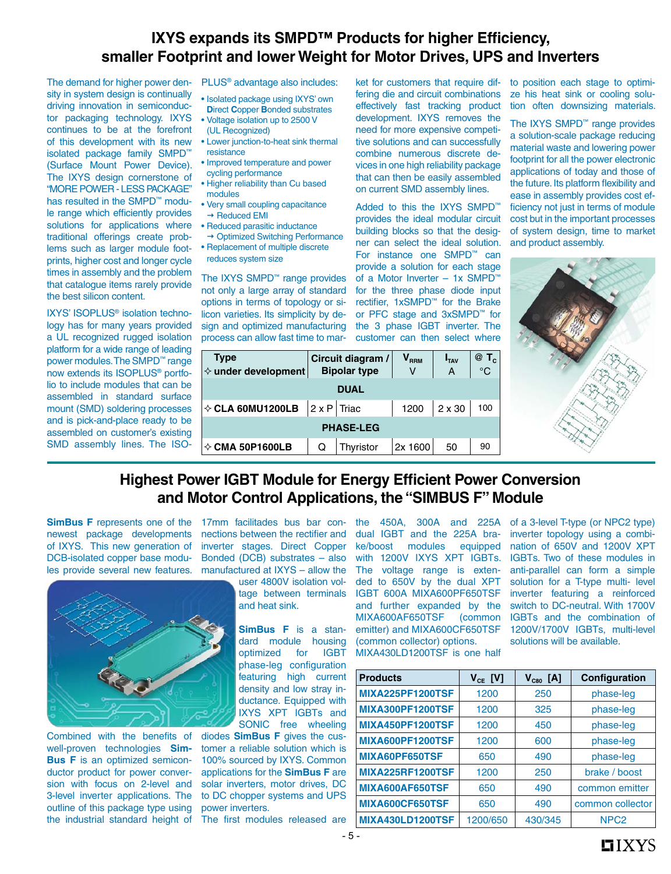# **IXYS expands its SMPD™ Products for higher Efficiency, smaller Footprint and lower Weight for Motor Drives, UPS and Inverters**

The demand for higher power density in system design is continually driving innovation in semiconductor packaging technology. IXYS continues to be at the forefront of this development with its new isolated package family SMPD™ (Surface Mount Power Device). The IXYS design cornerstone of "MORE POWER - LESS PACKAGE" has resulted in the SMPD™ module range which efficiently provides solutions for applications where traditional offerings create problems such as larger module footprints, higher cost and longer cycle times in assembly and the problem that catalogue items rarely provide the best silicon content.

IXYS' ISOPLUS® isolation technology has for many years provided a UL recognized rugged isolation platform for a wide range of leading power modules. The SMPD™ range now extends its ISOPLUS® portfolio to include modules that can be assembled in standard surface mount (SMD) soldering processes and is pick-and-place ready to be assembled on customer's existing SMD assembly lines. The ISO-

PLUS® advantage also includes:

- Isolated package using IXYS' own **D**irect **C**opper **B**onded substrates
- Voltage isolation up to 2500 V (UL Recognized)
- Lower junction-to-heat sink thermal resistance
- Improved temperature and power cycling performance
- Higher reliability than Cu based modules
- Very small coupling capacitance  $\rightarrow$  Reduced EMI
- Reduced parasitic inductance → Optimized Switching Performance
- Replacement of multiple discrete reduces system size

The IXYS SMPD™ range provides not only a large array of standard options in terms of topology or silicon varieties. Its simplicity by design and optimized manufacturing process can allow fast time to market for customers that require differing die and circuit combinations effectively fast tracking product development. IXYS removes the need for more expensive competitive solutions and can successfully combine numerous discrete devices in one high reliability package that can then be easily assembled on current SMD assembly lines.

Added to this the IXYS SMPD™ provides the ideal modular circuit building blocks so that the designer can select the ideal solution. For instance one SMPD™ can provide a solution for each stage of a Motor Inverter – 1x SMPD™ for the three phase diode input rectifier, 1xSMPD™ for the Brake or PFC stage and 3xSMPD™ for the 3 phase IGBT inverter. The customer can then select where to position each stage to optimize his heat sink or cooling solution often downsizing materials.

The IXYS SMPD™ range provides a solution-scale package reducing material waste and lowering power footprint for all the power electronic applications of today and those of the future. Its platform flexibility and ease in assembly provides cost efficiency not just in terms of module cost but in the important processes of system design, time to market and product assembly.



| <b>Type</b><br>$\diamond$ under development |                      | Circuit diagram /<br><b>Bipolar type</b> | $\mathbf{V}_{\mathsf{RRM}}$<br>V | I <sub>TAV</sub><br>A | $@T_c$<br>$^{\circ}C$ |  |  |  |
|---------------------------------------------|----------------------|------------------------------------------|----------------------------------|-----------------------|-----------------------|--|--|--|
| <b>DUAL</b>                                 |                      |                                          |                                  |                       |                       |  |  |  |
| $\diamond$ CLA 60MU1200LB                   | $ 2 \times P $ Triac |                                          | 1200                             | $2 \times 30$         | 100                   |  |  |  |
| <b>PHASE-LEG</b>                            |                      |                                          |                                  |                       |                       |  |  |  |
| $\diamond$ CMA 50P1600LB                    | Q                    | Thyristor                                | 2x 1600                          | 50                    | 90                    |  |  |  |

# **Highest Power IGBT Module for Energy Efficient Power Conversion and Motor Control Applications, the "SIMBUS F" Module**

SimBus F represents one of the 17mm facilitades bus bar connewest package developments nections between the rectifier and of IXYS. This new generation of DCB-isolated copper base modu-Bonded (DCB) substrates – also



Combined with the benefits of well-proven technologies **Sim-Bus F** is an optimized semiconductor product for power conversion with focus on 2-level and 3-level inverter applications. The outline of this package type using the industrial standard height of The first modules released are

les provide several new features. manufactured at IXYS – allow the inverter stages. Direct Copper

> user 4800V isolation voltage between terminals and heat sink.

> **SimBus F** is a standard module housing optimized for IGBT phase-leg configuration featuring high current density and low stray inductance. Equipped with IXYS XPT IGBTs and SONIC free wheeling

diodes **SimBus F** gives the customer a reliable solution which is 100% sourced by IXYS. Common applications for the **SimBus F** are solar inverters, motor drives, DC to DC chopper systems and UPS power inverters.

the 450A, 300A and 225A of a 3-level T-type (or NPC2 type) dual IGBT and the 225A brake/boost modules equipped with 1200V IXYS XPT IGBTs. The voltage range is extended to 650V by the dual XPT IGBT 600A MIXA600PF650TSF and further expanded by the MIXA600AF650TSF (common emitter) and MIXA600CF650TSF (common collector) options. MIXA430LD1200TSF is one half

inverter topology using a combination of 650V and 1200V XPT IGBTs. Two of these modules in anti-parallel can form a simple solution for a T-type multi- level inverter featuring a reinforced switch to DC-neutral. With 1700V IGBTs and the combination of 1200V/1700V IGBTs, multi-level solutions will be available.

| <b>Products</b>         | $V_{CE}$ [V] | $V_{cso}$ [A] | Configuration    |
|-------------------------|--------------|---------------|------------------|
| <b>MIXA225PF1200TSF</b> | 1200         | 250           | phase-leg        |
| <b>MIXA300PF1200TSF</b> | 1200         | 325           | phase-leg        |
| <b>MIXA450PF1200TSF</b> | 1200         | 450           | phase-leg        |
| <b>MIXA600PF1200TSF</b> | 1200         | 600           | phase-leg        |
| MIXA60PF650TSF          | 650          | 490           | phase-leg        |
| <b>MIXA225RF1200TSF</b> | 1200         | 250           | brake / boost    |
| MIXA600AF650TSF         | 650          | 490           | common emitter   |
| MIXA600CF650TSF         | 650          | 490           | common collector |
| <b>MIXA430LD1200TSF</b> | 1200/650     | 430/345       | NPC <sub>2</sub> |